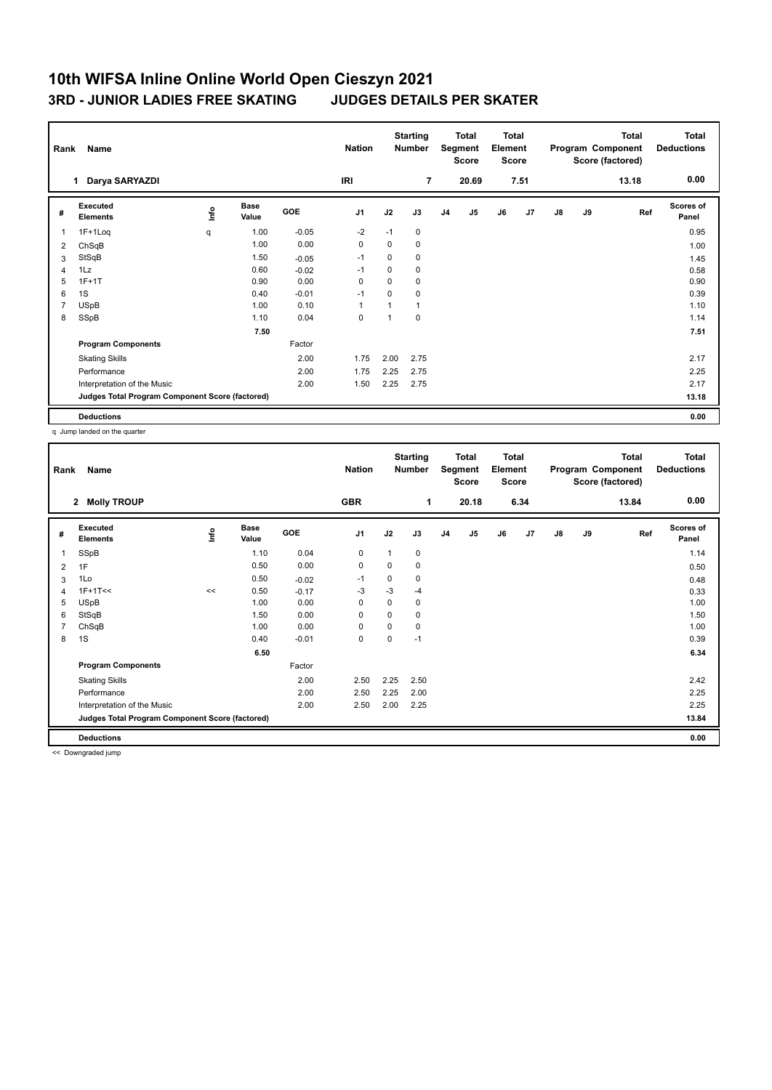| Name<br>Rank   |                                                 |      |                      |         |                |                | <b>Starting</b><br><b>Total</b><br><b>Number</b><br>Segment<br><b>Score</b> |                | <b>Total</b><br>Element<br><b>Score</b> |    |                |               | <b>Total</b><br>Program Component<br>Score (factored) | <b>Total</b><br><b>Deductions</b> |                    |
|----------------|-------------------------------------------------|------|----------------------|---------|----------------|----------------|-----------------------------------------------------------------------------|----------------|-----------------------------------------|----|----------------|---------------|-------------------------------------------------------|-----------------------------------|--------------------|
|                | Darya SARYAZDI<br>1                             |      |                      |         | <b>IRI</b>     |                | $\overline{7}$                                                              |                | 20.69                                   |    | 7.51           |               |                                                       | 13.18                             | 0.00               |
| #              | Executed<br><b>Elements</b>                     | lnfo | <b>Base</b><br>Value | GOE     | J <sub>1</sub> | J2             | J3                                                                          | J <sub>4</sub> | J5                                      | J6 | J <sub>7</sub> | $\mathsf{J}8$ | J9                                                    | Ref                               | Scores of<br>Panel |
| $\overline{1}$ | $1F+1Log$                                       | q    | 1.00                 | $-0.05$ | $-2$           | $-1$           | 0                                                                           |                |                                         |    |                |               |                                                       |                                   | 0.95               |
| 2              | ChSqB                                           |      | 1.00                 | 0.00    | $\mathbf 0$    | 0              | 0                                                                           |                |                                         |    |                |               |                                                       |                                   | 1.00               |
| 3              | StSqB                                           |      | 1.50                 | $-0.05$ | $-1$           | 0              | 0                                                                           |                |                                         |    |                |               |                                                       |                                   | 1.45               |
| $\overline{4}$ | 1Lz                                             |      | 0.60                 | $-0.02$ | $-1$           | 0              | 0                                                                           |                |                                         |    |                |               |                                                       |                                   | 0.58               |
| 5              | $1F+1T$                                         |      | 0.90                 | 0.00    | 0              | $\Omega$       | 0                                                                           |                |                                         |    |                |               |                                                       |                                   | 0.90               |
| 6              | 1S                                              |      | 0.40                 | $-0.01$ | $-1$           | 0              | 0                                                                           |                |                                         |    |                |               |                                                       |                                   | 0.39               |
| $\overline{7}$ | <b>USpB</b>                                     |      | 1.00                 | 0.10    | $\mathbf{1}$   | 1              | 1                                                                           |                |                                         |    |                |               |                                                       |                                   | 1.10               |
| 8              | SSpB                                            |      | 1.10                 | 0.04    | $\mathbf 0$    | $\overline{ }$ | 0                                                                           |                |                                         |    |                |               |                                                       |                                   | 1.14               |
|                |                                                 |      | 7.50                 |         |                |                |                                                                             |                |                                         |    |                |               |                                                       |                                   | 7.51               |
|                | <b>Program Components</b>                       |      |                      | Factor  |                |                |                                                                             |                |                                         |    |                |               |                                                       |                                   |                    |
|                | <b>Skating Skills</b>                           |      |                      | 2.00    | 1.75           | 2.00           | 2.75                                                                        |                |                                         |    |                |               |                                                       |                                   | 2.17               |
|                | Performance                                     |      |                      | 2.00    | 1.75           | 2.25           | 2.75                                                                        |                |                                         |    |                |               |                                                       |                                   | 2.25               |
|                | Interpretation of the Music                     |      |                      | 2.00    | 1.50           | 2.25           | 2.75                                                                        |                |                                         |    |                |               |                                                       |                                   | 2.17               |
|                | Judges Total Program Component Score (factored) |      |                      |         |                |                |                                                                             |                |                                         |    |                |               |                                                       |                                   | 13.18              |
|                | <b>Deductions</b>                               |      |                      |         |                |                |                                                                             |                |                                         |    |                |               |                                                       |                                   | 0.00               |

q Jump landed on the quarter

|   | Name<br>Rank                                    |    |                      |            |                |             | <b>Starting</b><br><b>Total</b><br><b>Number</b><br>Segment<br><b>Score</b> |                | <b>Total</b><br>Element<br><b>Score</b> |    |                |               | <b>Total</b><br>Program Component<br>Score (factored) | Total<br><b>Deductions</b> |                           |
|---|-------------------------------------------------|----|----------------------|------------|----------------|-------------|-----------------------------------------------------------------------------|----------------|-----------------------------------------|----|----------------|---------------|-------------------------------------------------------|----------------------------|---------------------------|
|   | <b>Molly TROUP</b><br>$\mathbf{2}$              |    |                      |            | <b>GBR</b>     |             | 1                                                                           |                | 20.18                                   |    | 6.34           |               |                                                       | 13.84                      | 0.00                      |
| # | Executed<br><b>Elements</b>                     | ۴ů | <b>Base</b><br>Value | <b>GOE</b> | J <sub>1</sub> | J2          | J3                                                                          | J <sub>4</sub> | J <sub>5</sub>                          | J6 | J <sub>7</sub> | $\mathsf{J}8$ | J9                                                    | Ref                        | <b>Scores of</b><br>Panel |
| 1 | SSpB                                            |    | 1.10                 | 0.04       | 0              | 1           | 0                                                                           |                |                                         |    |                |               |                                                       |                            | 1.14                      |
| 2 | 1F                                              |    | 0.50                 | 0.00       | 0              | 0           | 0                                                                           |                |                                         |    |                |               |                                                       |                            | 0.50                      |
| 3 | 1Lo                                             |    | 0.50                 | $-0.02$    | $-1$           | $\mathbf 0$ | 0                                                                           |                |                                         |    |                |               |                                                       |                            | 0.48                      |
| 4 | $1F+1T<<$                                       | << | 0.50                 | $-0.17$    | $-3$           | $-3$        | $-4$                                                                        |                |                                         |    |                |               |                                                       |                            | 0.33                      |
| 5 | <b>USpB</b>                                     |    | 1.00                 | 0.00       | 0              | $\Omega$    | 0                                                                           |                |                                         |    |                |               |                                                       |                            | 1.00                      |
| 6 | StSqB                                           |    | 1.50                 | 0.00       | $\mathbf 0$    | 0           | 0                                                                           |                |                                         |    |                |               |                                                       |                            | 1.50                      |
| 7 | ChSqB                                           |    | 1.00                 | 0.00       | 0              | $\Omega$    | 0                                                                           |                |                                         |    |                |               |                                                       |                            | 1.00                      |
| 8 | 1S                                              |    | 0.40                 | $-0.01$    | 0              | 0           | $-1$                                                                        |                |                                         |    |                |               |                                                       |                            | 0.39                      |
|   |                                                 |    | 6.50                 |            |                |             |                                                                             |                |                                         |    |                |               |                                                       |                            | 6.34                      |
|   | <b>Program Components</b>                       |    |                      | Factor     |                |             |                                                                             |                |                                         |    |                |               |                                                       |                            |                           |
|   | <b>Skating Skills</b>                           |    |                      | 2.00       | 2.50           | 2.25        | 2.50                                                                        |                |                                         |    |                |               |                                                       |                            | 2.42                      |
|   | Performance                                     |    |                      | 2.00       | 2.50           | 2.25        | 2.00                                                                        |                |                                         |    |                |               |                                                       |                            | 2.25                      |
|   | Interpretation of the Music                     |    |                      | 2.00       | 2.50           | 2.00        | 2.25                                                                        |                |                                         |    |                |               |                                                       |                            | 2.25                      |
|   | Judges Total Program Component Score (factored) |    |                      |            |                |             |                                                                             |                |                                         |    |                |               |                                                       |                            | 13.84                     |
|   | <b>Deductions</b>                               |    |                      |            |                |             |                                                                             |                |                                         |    |                |               |                                                       |                            | 0.00                      |

<< Downgraded jump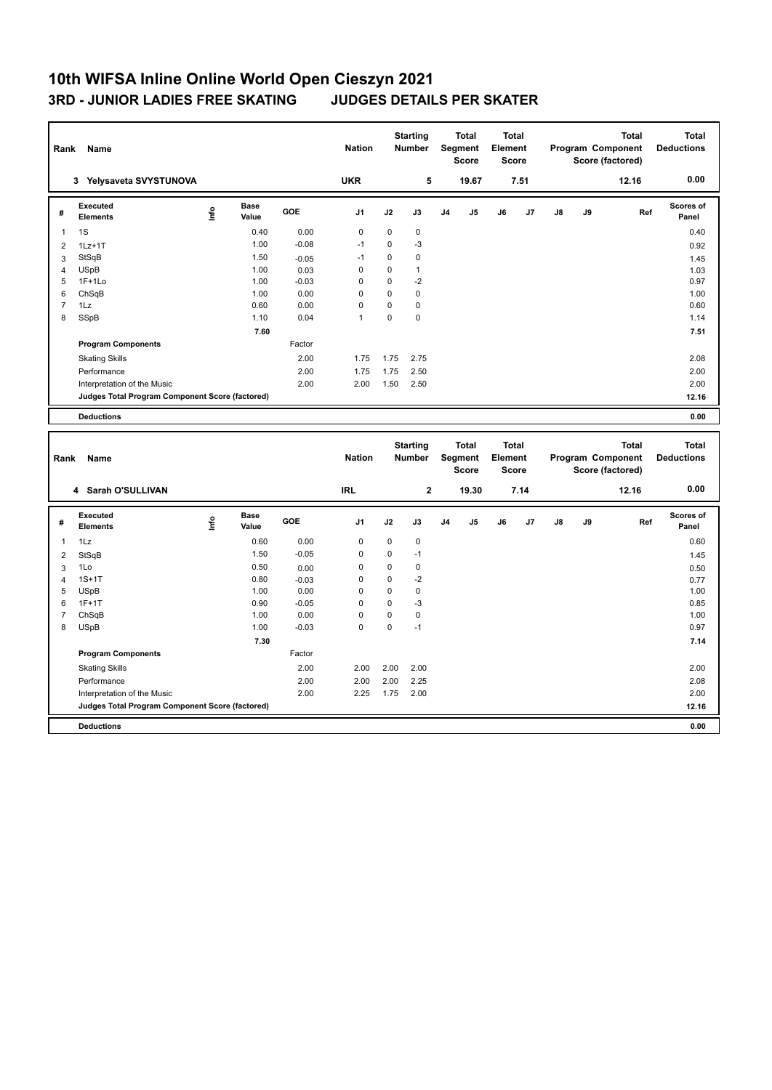| Rank                    | Name                                            |      |                      |                 | <b>Nation</b> |             | <b>Starting</b><br><b>Number</b> |                | <b>Total</b><br>Segment<br><b>Score</b>        | <b>Total</b><br>Element<br><b>Score</b> |      |    |    | <b>Total</b><br>Program Component<br>Score (factored) | <b>Total</b><br><b>Deductions</b> |
|-------------------------|-------------------------------------------------|------|----------------------|-----------------|---------------|-------------|----------------------------------|----------------|------------------------------------------------|-----------------------------------------|------|----|----|-------------------------------------------------------|-----------------------------------|
|                         | 3 Yelysaveta SVYSTUNOVA                         |      |                      |                 | <b>UKR</b>    |             | 5                                |                | 19.67                                          |                                         | 7.51 |    |    | 12.16                                                 | 0.00                              |
| #                       | Executed<br><b>Elements</b>                     | lnfo | <b>Base</b><br>Value | GOE             | J1            | J2          | J3                               | J <sub>4</sub> | J5                                             | J6                                      | J7   | J8 | J9 | Ref                                                   | Scores of<br>Panel                |
| 1                       | 1S                                              |      | 0.40                 | 0.00            | $\mathbf 0$   | $\mathbf 0$ | 0                                |                |                                                |                                         |      |    |    |                                                       | 0.40                              |
| $\overline{2}$          | $1Lz+1T$                                        |      | 1.00                 | $-0.08$         | $-1$          | $\mathbf 0$ | $-3$                             |                |                                                |                                         |      |    |    |                                                       | 0.92                              |
| 3                       | StSqB                                           |      | 1.50                 | $-0.05$         | $-1$          | $\pmb{0}$   | $\mathbf 0$                      |                |                                                |                                         |      |    |    |                                                       | 1.45                              |
| 4                       | <b>USpB</b>                                     |      | 1.00                 | 0.03            | $\pmb{0}$     | $\mathbf 0$ | $\mathbf{1}$                     |                |                                                |                                         |      |    |    |                                                       | 1.03                              |
| 5                       | $1F+1Lo$                                        |      | 1.00                 | $-0.03$         | $\mathbf 0$   | $\mathbf 0$ | $-2$                             |                |                                                |                                         |      |    |    |                                                       | 0.97                              |
| 6                       | ChSqB                                           |      | 1.00                 | 0.00            | $\Omega$      | $\Omega$    | $\mathbf 0$                      |                |                                                |                                         |      |    |    |                                                       | 1.00                              |
| $\overline{\mathbf{7}}$ | 1Lz                                             |      | 0.60                 | 0.00            | $\mathbf 0$   | $\mathbf 0$ | $\mathbf 0$                      |                |                                                |                                         |      |    |    |                                                       | 0.60                              |
| 8                       | SSpB                                            |      | 1.10                 | 0.04            | $\mathbf{1}$  | $\mathbf 0$ | $\mathbf 0$                      |                |                                                |                                         |      |    |    |                                                       | 1.14                              |
|                         |                                                 |      | 7.60                 |                 |               |             |                                  |                |                                                |                                         |      |    |    |                                                       | 7.51                              |
|                         | <b>Program Components</b>                       |      |                      | Factor          |               |             |                                  |                |                                                |                                         |      |    |    |                                                       |                                   |
|                         | <b>Skating Skills</b>                           |      |                      | 2.00            | 1.75          | 1.75        | 2.75                             |                |                                                |                                         |      |    |    |                                                       | 2.08                              |
|                         | Performance                                     |      |                      | 2.00            | 1.75          | 1.75        | 2.50                             |                |                                                |                                         |      |    |    |                                                       | 2.00                              |
|                         | Interpretation of the Music                     |      |                      | 2.00            | 2.00          | 1.50        | 2.50                             |                |                                                |                                         |      |    |    |                                                       | 2.00                              |
|                         | Judges Total Program Component Score (factored) |      |                      |                 |               |             |                                  |                |                                                |                                         |      |    |    |                                                       | 12.16                             |
|                         | <b>Deductions</b>                               |      |                      |                 |               |             |                                  |                |                                                |                                         |      |    |    |                                                       | 0.00                              |
|                         |                                                 |      |                      |                 |               |             |                                  |                |                                                |                                         |      |    |    |                                                       |                                   |
| Rank                    | Name                                            |      |                      |                 | <b>Nation</b> |             | <b>Starting</b><br><b>Number</b> |                | <b>Total</b><br><b>Segment</b><br><b>Score</b> | <b>Total</b><br>Element<br><b>Score</b> |      |    |    | <b>Total</b><br>Program Component<br>Score (factored) | <b>Total</b><br><b>Deductions</b> |
|                         | 4 Sarah O'SULLIVAN                              |      |                      |                 | <b>IRL</b>    |             | $\mathbf 2$                      |                | 19.30                                          |                                         | 7.14 |    |    | 12.16                                                 | 0.00                              |
| #                       | Executed<br><b>Elements</b>                     | lnfo | Base<br>Value        | <b>GOE</b>      | J1            | J2          | J3                               | J <sub>4</sub> | J5                                             | J6                                      | J7   | J8 | J9 | Ref                                                   | <b>Scores of</b><br>Panel         |
| $\mathbf{1}$            | 1Lz                                             |      | 0.60                 | 0.00            | $\pmb{0}$     | $\mathbf 0$ | 0                                |                |                                                |                                         |      |    |    |                                                       | 0.60                              |
|                         |                                                 |      | 1.50                 | $-0.05$         | $\mathbf 0$   | $\mathbf 0$ | $-1$                             |                |                                                |                                         |      |    |    |                                                       |                                   |
| $\overline{\mathbf{c}}$ | StSqB<br>1Lo                                    |      | 0.50                 |                 | $\pmb{0}$     | $\mathbf 0$ | $\mathbf 0$                      |                |                                                |                                         |      |    |    |                                                       | 1.45                              |
| 3<br>4                  | $1S+1T$                                         |      | 0.80                 | 0.00<br>$-0.03$ | $\mathbf 0$   | $\mathbf 0$ | $-2$                             |                |                                                |                                         |      |    |    |                                                       | 0.50<br>0.77                      |
| 5                       | <b>USpB</b>                                     |      | 1.00                 | 0.00            | $\mathbf 0$   | $\mathbf 0$ | $\mathbf 0$                      |                |                                                |                                         |      |    |    |                                                       | 1.00                              |
| 6                       | $1F+1T$                                         |      | 0.90                 | $-0.05$         | 0             | $\mathbf 0$ | -3                               |                |                                                |                                         |      |    |    |                                                       | 0.85                              |
| $\overline{7}$          | ChSqB                                           |      | 1.00                 | 0.00            | $\mathbf 0$   | $\mathbf 0$ | $\mathbf 0$                      |                |                                                |                                         |      |    |    |                                                       | 1.00                              |
| 8                       | <b>USpB</b>                                     |      | 1.00                 | $-0.03$         | $\Omega$      | 0           | $-1$                             |                |                                                |                                         |      |    |    |                                                       | 0.97                              |
|                         |                                                 |      | 7.30                 |                 |               |             |                                  |                |                                                |                                         |      |    |    |                                                       | 7.14                              |
|                         | <b>Program Components</b>                       |      |                      | Factor          |               |             |                                  |                |                                                |                                         |      |    |    |                                                       |                                   |
|                         | <b>Skating Skills</b>                           |      |                      | 2.00            | 2.00          | 2.00        | 2.00                             |                |                                                |                                         |      |    |    |                                                       | 2.00                              |
|                         | Performance                                     |      |                      | 2.00            | 2.00          | 2.00        | 2.25                             |                |                                                |                                         |      |    |    |                                                       | 2.08                              |
|                         | Interpretation of the Music                     |      |                      | 2.00            | 2.25          | 1.75        | 2.00                             |                |                                                |                                         |      |    |    |                                                       | 2.00                              |
|                         | Judges Total Program Component Score (factored) |      |                      |                 |               |             |                                  |                |                                                |                                         |      |    |    |                                                       | 12.16                             |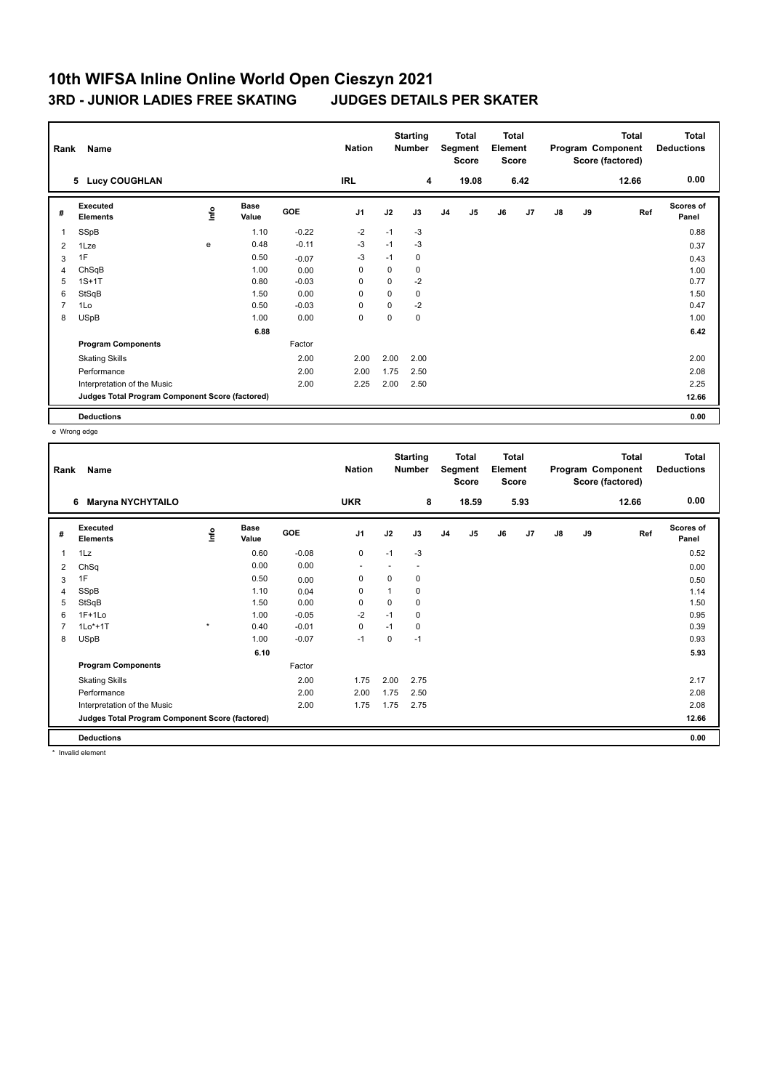| Name<br>Rank   |                                                 |      |                      |            |                |             | <b>Starting</b><br>Total<br><b>Number</b><br>Segment<br><b>Score</b> |                | <b>Total</b><br>Element<br><b>Score</b> |    | <b>Total</b><br>Program Component<br>Score (factored) |    |    | <b>Total</b><br><b>Deductions</b> |                    |
|----------------|-------------------------------------------------|------|----------------------|------------|----------------|-------------|----------------------------------------------------------------------|----------------|-----------------------------------------|----|-------------------------------------------------------|----|----|-----------------------------------|--------------------|
|                | 5 Lucy COUGHLAN                                 |      |                      |            | <b>IRL</b>     |             | 4                                                                    |                | 19.08                                   |    | 6.42                                                  |    |    | 12.66                             | 0.00               |
| #              | Executed<br><b>Elements</b>                     | lnfo | <b>Base</b><br>Value | <b>GOE</b> | J <sub>1</sub> | J2          | J3                                                                   | J <sub>4</sub> | J <sub>5</sub>                          | J6 | J <sub>7</sub>                                        | J8 | J9 | Ref                               | Scores of<br>Panel |
| 1              | SSpB                                            |      | 1.10                 | $-0.22$    | $-2$           | $-1$        | $-3$                                                                 |                |                                         |    |                                                       |    |    |                                   | 0.88               |
| 2              | 1Lze                                            | e    | 0.48                 | $-0.11$    | $-3$           | $-1$        | $-3$                                                                 |                |                                         |    |                                                       |    |    |                                   | 0.37               |
| 3              | 1F                                              |      | 0.50                 | $-0.07$    | $-3$           | $-1$        | 0                                                                    |                |                                         |    |                                                       |    |    |                                   | 0.43               |
| $\overline{4}$ | ChSqB                                           |      | 1.00                 | 0.00       | 0              | $\mathbf 0$ | 0                                                                    |                |                                         |    |                                                       |    |    |                                   | 1.00               |
| 5              | $1S+1T$                                         |      | 0.80                 | $-0.03$    | $\mathbf 0$    | $\mathbf 0$ | $-2$                                                                 |                |                                         |    |                                                       |    |    |                                   | 0.77               |
| 6              | StSqB                                           |      | 1.50                 | 0.00       | 0              | $\Omega$    | 0                                                                    |                |                                         |    |                                                       |    |    |                                   | 1.50               |
| $\overline{7}$ | 1Lo                                             |      | 0.50                 | $-0.03$    | 0              | $\mathbf 0$ | $-2$                                                                 |                |                                         |    |                                                       |    |    |                                   | 0.47               |
| 8              | <b>USpB</b>                                     |      | 1.00                 | 0.00       | 0              | 0           | 0                                                                    |                |                                         |    |                                                       |    |    |                                   | 1.00               |
|                |                                                 |      | 6.88                 |            |                |             |                                                                      |                |                                         |    |                                                       |    |    |                                   | 6.42               |
|                | <b>Program Components</b>                       |      |                      | Factor     |                |             |                                                                      |                |                                         |    |                                                       |    |    |                                   |                    |
|                | <b>Skating Skills</b>                           |      |                      | 2.00       | 2.00           | 2.00        | 2.00                                                                 |                |                                         |    |                                                       |    |    |                                   | 2.00               |
|                | Performance                                     |      |                      | 2.00       | 2.00           | 1.75        | 2.50                                                                 |                |                                         |    |                                                       |    |    |                                   | 2.08               |
|                | Interpretation of the Music                     |      |                      | 2.00       | 2.25           | 2.00        | 2.50                                                                 |                |                                         |    |                                                       |    |    |                                   | 2.25               |
|                | Judges Total Program Component Score (factored) |      |                      |            |                |             |                                                                      |                |                                         |    |                                                       |    |    |                                   | 12.66              |
|                | <b>Deductions</b>                               |      |                      |            |                |             |                                                                      |                |                                         |    |                                                       |    |    |                                   | 0.00               |

e Wrong edge

| Rank | Name                                            |         |                      |         | <b>Nation</b>  |             | <b>Starting</b><br><b>Number</b> |                | Total<br>Segment<br><b>Score</b> | <b>Total</b><br>Element<br><b>Score</b> |      |    |    | <b>Total</b><br>Program Component<br>Score (factored) | <b>Total</b><br><b>Deductions</b> |
|------|-------------------------------------------------|---------|----------------------|---------|----------------|-------------|----------------------------------|----------------|----------------------------------|-----------------------------------------|------|----|----|-------------------------------------------------------|-----------------------------------|
|      | <b>Maryna NYCHYTAILO</b><br>6                   |         |                      |         | <b>UKR</b>     |             | 8                                |                | 18.59                            |                                         | 5.93 |    |    | 12.66                                                 | 0.00                              |
| #    | Executed<br><b>Elements</b>                     | ١nf٥    | <b>Base</b><br>Value | GOE     | J <sub>1</sub> | J2          | J3                               | J <sub>4</sub> | J <sub>5</sub>                   | J6                                      | J7   | J8 | J9 | Ref                                                   | <b>Scores of</b><br>Panel         |
| 1    | 1Lz                                             |         | 0.60                 | $-0.08$ | 0              | $-1$        | $-3$                             |                |                                  |                                         |      |    |    |                                                       | 0.52                              |
| 2    | ChSq                                            |         | 0.00                 | 0.00    | ٠              |             |                                  |                |                                  |                                         |      |    |    |                                                       | 0.00                              |
| 3    | 1F                                              |         | 0.50                 | 0.00    | $\mathbf 0$    | $\mathbf 0$ | 0                                |                |                                  |                                         |      |    |    |                                                       | 0.50                              |
| 4    | SSpB                                            |         | 1.10                 | 0.04    | 0              | 1           | 0                                |                |                                  |                                         |      |    |    |                                                       | 1.14                              |
| 5    | StSqB                                           |         | 1.50                 | 0.00    | $\mathbf 0$    | $\Omega$    | 0                                |                |                                  |                                         |      |    |    |                                                       | 1.50                              |
| 6    | $1F+1Lo$                                        |         | 1.00                 | $-0.05$ | $-2$           | $-1$        | $\mathbf 0$                      |                |                                  |                                         |      |    |    |                                                       | 0.95                              |
| 7    | $1Lo*+1T$                                       | $\star$ | 0.40                 | $-0.01$ | 0              | $-1$        | 0                                |                |                                  |                                         |      |    |    |                                                       | 0.39                              |
| 8    | <b>USpB</b>                                     |         | 1.00                 | $-0.07$ | $-1$           | 0           | $-1$                             |                |                                  |                                         |      |    |    |                                                       | 0.93                              |
|      |                                                 |         | 6.10                 |         |                |             |                                  |                |                                  |                                         |      |    |    |                                                       | 5.93                              |
|      | <b>Program Components</b>                       |         |                      | Factor  |                |             |                                  |                |                                  |                                         |      |    |    |                                                       |                                   |
|      | <b>Skating Skills</b>                           |         |                      | 2.00    | 1.75           | 2.00        | 2.75                             |                |                                  |                                         |      |    |    |                                                       | 2.17                              |
|      | Performance                                     |         |                      | 2.00    | 2.00           | 1.75        | 2.50                             |                |                                  |                                         |      |    |    |                                                       | 2.08                              |
|      | Interpretation of the Music                     |         |                      | 2.00    | 1.75           | 1.75        | 2.75                             |                |                                  |                                         |      |    |    |                                                       | 2.08                              |
|      | Judges Total Program Component Score (factored) |         |                      |         |                |             |                                  |                |                                  |                                         |      |    |    |                                                       | 12.66                             |
|      | <b>Deductions</b>                               |         |                      |         |                |             |                                  |                |                                  |                                         |      |    |    |                                                       | 0.00                              |

\* Invalid element